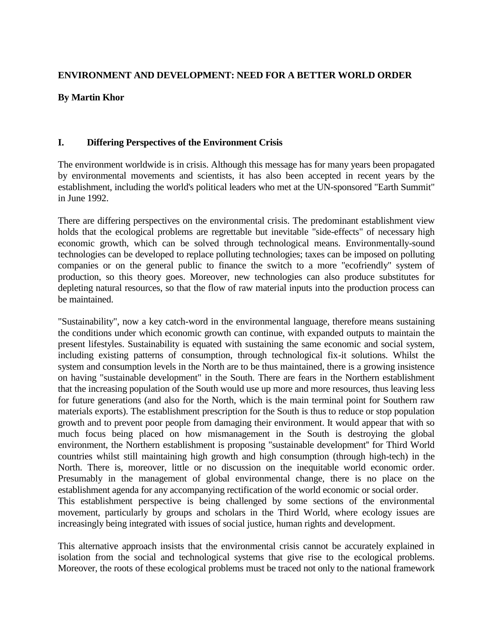# **ENVIRONMENT AND DEVELOPMENT: NEED FOR A BETTER WORLD ORDER**

## **By Martin Khor**

## **I. Differing Perspectives of the Environment Crisis**

The environment worldwide is in crisis. Although this message has for many years been propagated by environmental movements and scientists, it has also been accepted in recent years by the establishment, including the world's political leaders who met at the UN-sponsored "Earth Summit" in June 1992.

There are differing perspectives on the environmental crisis. The predominant establishment view holds that the ecological problems are regrettable but inevitable "side-effects" of necessary high economic growth, which can be solved through technological means. Environmentally-sound technologies can be developed to replace polluting technologies; taxes can be imposed on polluting companies or on the general public to finance the switch to a more "ecofriendly" system of production, so this theory goes. Moreover, new technologies can also produce substitutes for depleting natural resources, so that the flow of raw material inputs into the production process can be maintained.

"Sustainability", now a key catch-word in the environmental language, therefore means sustaining the conditions under which economic growth can continue, with expanded outputs to maintain the present lifestyles. Sustainability is equated with sustaining the same economic and social system, including existing patterns of consumption, through technological fix-it solutions. Whilst the system and consumption levels in the North are to be thus maintained, there is a growing insistence on having "sustainable development" in the South. There are fears in the Northern establishment that the increasing population of the South would use up more and more resources, thus leaving less for future generations (and also for the North, which is the main terminal point for Southern raw materials exports). The establishment prescription for the South is thus to reduce or stop population growth and to prevent poor people from damaging their environment. It would appear that with so much focus being placed on how mismanagement in the South is destroying the global environment, the Northern establishment is proposing "sustainable development'' for Third World countries whilst still maintaining high growth and high consumption (through high-tech) in the North. There is, moreover, little or no discussion on the inequitable world economic order. Presumably in the management of global environmental change, there is no place on the establishment agenda for any accompanying rectification of the world economic or social order. This establishment perspective is being challenged by some sections of the environmental movement, particularly by groups and scholars in the Third World, where ecology issues are increasingly being integrated with issues of social justice, human rights and development.

This alternative approach insists that the environmental crisis cannot be accurately explained in isolation from the social and technological systems that give rise to the ecological problems. Moreover, the roots of these ecological problems must be traced not only to the national framework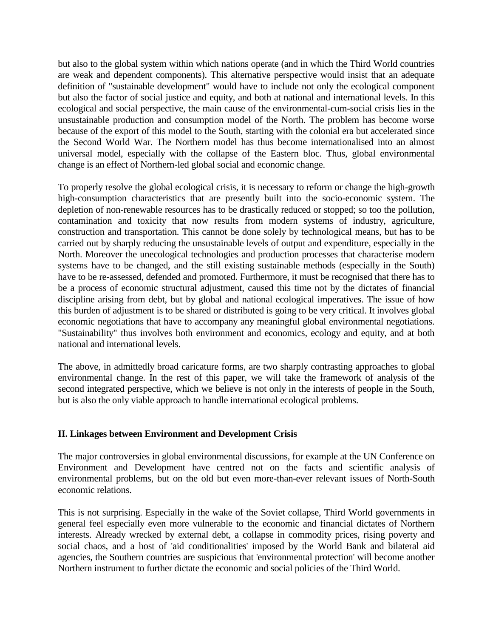but also to the global system within which nations operate (and in which the Third World countries are weak and dependent components). This alternative perspective would insist that an adequate definition of "sustainable development" would have to include not only the ecological component but also the factor of social justice and equity, and both at national and international levels. In this ecological and social perspective, the main cause of the environmental-cum-social crisis lies in the unsustainable production and consumption model of the North. The problem has become worse because of the export of this model to the South, starting with the colonial era but accelerated since the Second World War. The Northern model has thus become internationalised into an almost universal model, especially with the collapse of the Eastern bloc. Thus, global environmental change is an effect of Northern-led global social and economic change.

To properly resolve the global ecological crisis, it is necessary to reform or change the high-growth high-consumption characteristics that are presently built into the socio-economic system. The depletion of non-renewable resources has to be drastically reduced or stopped; so too the pollution, contamination and toxicity that now results from modern systems of industry, agriculture, construction and transportation. This cannot be done solely by technological means, but has to be carried out by sharply reducing the unsustainable levels of output and expenditure, especially in the North. Moreover the unecological technologies and production processes that characterise modern systems have to be changed, and the still existing sustainable methods (especially in the South) have to be re-assessed, defended and promoted. Furthermore, it must be recognised that there has to be a process of economic structural adjustment, caused this time not by the dictates of financial discipline arising from debt, but by global and national ecological imperatives. The issue of how this burden of adjustment is to be shared or distributed is going to be very critical. It involves global economic negotiations that have to accompany any meaningful global environmental negotiations. "Sustainability" thus involves both environment and economics, ecology and equity, and at both national and international levels.

The above, in admittedly broad caricature forms, are two sharply contrasting approaches to global environmental change. In the rest of this paper, we will take the framework of analysis of the second integrated perspective, which we believe is not only in the interests of people in the South, but is also the only viable approach to handle international ecological problems.

#### **II. Linkages between Environment and Development Crisis**

The major controversies in global environmental discussions, for example at the UN Conference on Environment and Development have centred not on the facts and scientific analysis of environmental problems, but on the old but even more-than-ever relevant issues of North-South economic relations.

This is not surprising. Especially in the wake of the Soviet collapse, Third World governments in general feel especially even more vulnerable to the economic and financial dictates of Northern interests. Already wrecked by external debt, a collapse in commodity prices, rising poverty and social chaos, and a host of 'aid conditionalities' imposed by the World Bank and bilateral aid agencies, the Southern countries are suspicious that 'environmental protection' will become another Northern instrument to further dictate the economic and social policies of the Third World.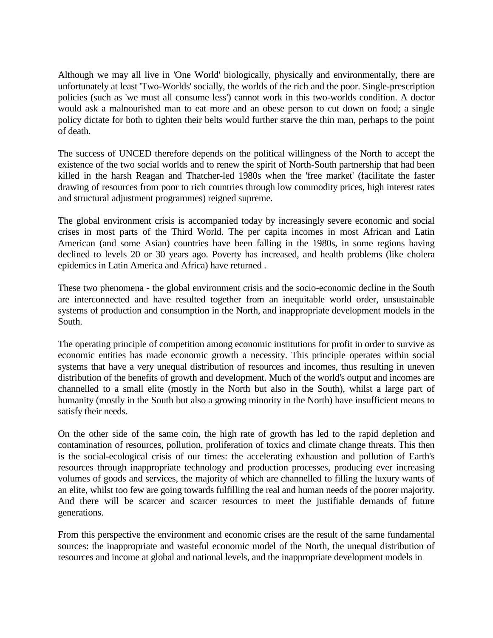Although we may all live in 'One World' biologically, physically and environmentally, there are unfortunately at least 'Two-Worlds' socially, the worlds of the rich and the poor. Single-prescription policies (such as 'we must all consume less') cannot work in this two-worlds condition. A doctor would ask a malnourished man to eat more and an obese person to cut down on food; a single policy dictate for both to tighten their belts would further starve the thin man, perhaps to the point of death.

The success of UNCED therefore depends on the political willingness of the North to accept the existence of the two social worlds and to renew the spirit of North-South partnership that had been killed in the harsh Reagan and Thatcher-led 1980s when the 'free market' (facilitate the faster drawing of resources from poor to rich countries through low commodity prices, high interest rates and structural adjustment programmes) reigned supreme.

The global environment crisis is accompanied today by increasingly severe economic and social crises in most parts of the Third World. The per capita incomes in most African and Latin American (and some Asian) countries have been falling in the 1980s, in some regions having declined to levels 20 or 30 years ago. Poverty has increased, and health problems (like cholera epidemics in Latin America and Africa) have returned .

These two phenomena - the global environment crisis and the socio-economic decline in the South are interconnected and have resulted together from an inequitable world order, unsustainable systems of production and consumption in the North, and inappropriate development models in the South.

The operating principle of competition among economic institutions for profit in order to survive as economic entities has made economic growth a necessity. This principle operates within social systems that have a very unequal distribution of resources and incomes, thus resulting in uneven distribution of the benefits of growth and development. Much of the world's output and incomes are channelled to a small elite (mostly in the North but also in the South), whilst a large part of humanity (mostly in the South but also a growing minority in the North) have insufficient means to satisfy their needs.

On the other side of the same coin, the high rate of growth has led to the rapid depletion and contamination of resources, pollution, proliferation of toxics and climate change threats. This then is the social-ecological crisis of our times: the accelerating exhaustion and pollution of Earth's resources through inappropriate technology and production processes, producing ever increasing volumes of goods and services, the majority of which are channelled to filling the luxury wants of an elite, whilst too few are going towards fulfilling the real and human needs of the poorer majority. And there will be scarcer and scarcer resources to meet the justifiable demands of future generations.

From this perspective the environment and economic crises are the result of the same fundamental sources: the inappropriate and wasteful economic model of the North, the unequal distribution of resources and income at global and national levels, and the inappropriate development models in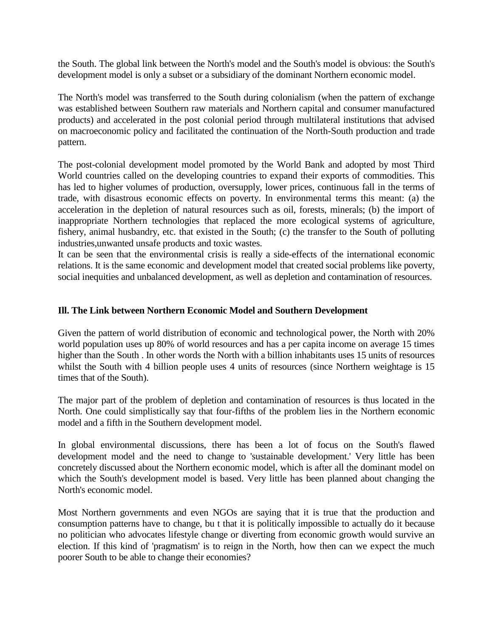the South. The global link between the North's model and the South's model is obvious: the South's development model is only a subset or a subsidiary of the dominant Northern economic model.

The North's model was transferred to the South during colonialism (when the pattern of exchange was established between Southern raw materials and Northern capital and consumer manufactured products) and accelerated in the post colonial period through multilateral institutions that advised on macroeconomic policy and facilitated the continuation of the North-South production and trade pattern.

The post-colonial development model promoted by the World Bank and adopted by most Third World countries called on the developing countries to expand their exports of commodities. This has led to higher volumes of production, oversupply, lower prices, continuous fall in the terms of trade, with disastrous economic effects on poverty. In environmental terms this meant: (a) the acceleration in the depletion of natural resources such as oil, forests, minerals; (b) the import of inappropriate Northern technologies that replaced the more ecological systems of agriculture, fishery, animal husbandry, etc. that existed in the South; (c) the transfer to the South of polluting industries,unwanted unsafe products and toxic wastes.

It can be seen that the environmental crisis is really a side-effects of the international economic relations. It is the same economic and development model that created social problems like poverty, social inequities and unbalanced development, as well as depletion and contamination of resources.

## **Ill. The Link between Northern Economic Model and Southern Development**

Given the pattern of world distribution of economic and technological power, the North with 20% world population uses up 80% of world resources and has a per capita income on average 15 times higher than the South . In other words the North with a billion inhabitants uses 15 units of resources whilst the South with 4 billion people uses 4 units of resources (since Northern weightage is 15 times that of the South).

The major part of the problem of depletion and contamination of resources is thus located in the North. One could simplistically say that four-fifths of the problem lies in the Northern economic model and a fifth in the Southern development model.

In global environmental discussions, there has been a lot of focus on the South's flawed development model and the need to change to 'sustainable development.' Very little has been concretely discussed about the Northern economic model, which is after all the dominant model on which the South's development model is based. Very little has been planned about changing the North's economic model.

Most Northern governments and even NGOs are saying that it is true that the production and consumption patterns have to change, bu t that it is politically impossible to actually do it because no politician who advocates lifestyle change or diverting from economic growth would survive an election. If this kind of 'pragmatism' is to reign in the North, how then can we expect the much poorer South to be able to change their economies?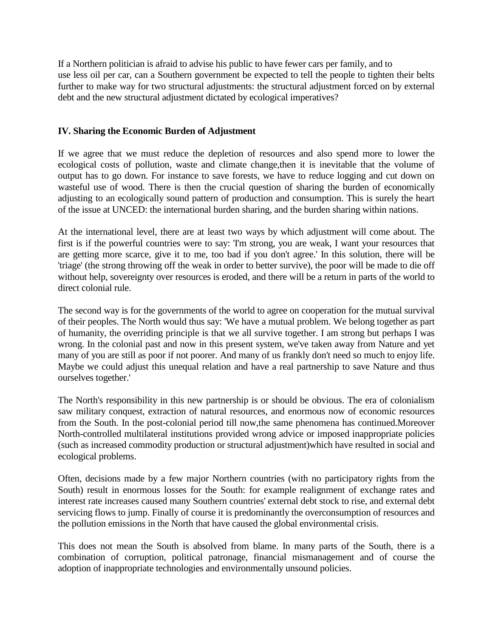If a Northern politician is afraid to advise his public to have fewer cars per family, and to use less oil per car, can a Southern government be expected to tell the people to tighten their belts further to make way for two structural adjustments: the structural adjustment forced on by external debt and the new structural adjustment dictated by ecological imperatives?

## **IV. Sharing the Economic Burden of Adjustment**

If we agree that we must reduce the depletion of resources and also spend more to lower the ecological costs of pollution, waste and climate change,then it is inevitable that the volume of output has to go down. For instance to save forests, we have to reduce logging and cut down on wasteful use of wood. There is then the crucial question of sharing the burden of economically adjusting to an ecologically sound pattern of production and consumption. This is surely the heart of the issue at UNCED: the international burden sharing, and the burden sharing within nations.

At the international level, there are at least two ways by which adjustment will come about. The first is if the powerful countries were to say: 'I'm strong, you are weak, I want your resources that are getting more scarce, give it to me, too bad if you don't agree.' In this solution, there will be 'triage' (the strong throwing off the weak in order to better survive), the poor will be made to die off without help, sovereignty over resources is eroded, and there will be a return in parts of the world to direct colonial rule.

The second way is for the governments of the world to agree on cooperation for the mutual survival of their peoples. The North would thus say: 'We have a mutual problem. We belong together as part of humanity, the overriding principle is that we all survive together. I am strong but perhaps I was wrong. In the colonial past and now in this present system, we've taken away from Nature and yet many of you are still as poor if not poorer. And many of us frankly don't need so much to enjoy life. Maybe we could adjust this unequal relation and have a real partnership to save Nature and thus ourselves together.'

The North's responsibility in this new partnership is or should be obvious. The era of colonialism saw military conquest, extraction of natural resources, and enormous now of economic resources from the South. In the post-colonial period till now,the same phenomena has continued.Moreover North-controlled multilateral institutions provided wrong advice or imposed inappropriate policies (such as increased commodity production or structural adjustment)which have resulted in social and ecological problems.

Often, decisions made by a few major Northern countries (with no participatory rights from the South) result in enormous losses for the South: for example realignment of exchange rates and interest rate increases caused many Southern countries' external debt stock to rise, and external debt servicing flows to jump. Finally of course it is predominantly the overconsumption of resources and the pollution emissions in the North that have caused the global environmental crisis.

This does not mean the South is absolved from blame. In many parts of the South, there is a combination of corruption, political patronage, financial mismanagement and of course the adoption of inappropriate technologies and environmentally unsound policies.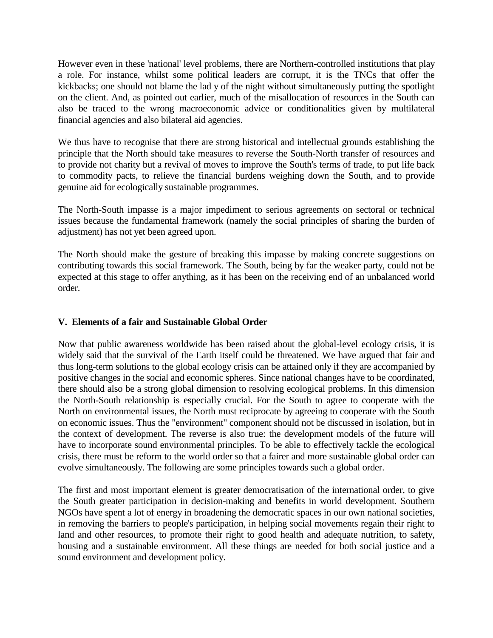However even in these 'national' level problems, there are Northern-controlled institutions that play a role. For instance, whilst some political leaders are corrupt, it is the TNCs that offer the kickbacks; one should not blame the lad y of the night without simultaneously putting the spotlight on the client. And, as pointed out earlier, much of the misallocation of resources in the South can also be traced to the wrong macroeconomic advice or conditionalities given by multilateral financial agencies and also bilateral aid agencies.

We thus have to recognise that there are strong historical and intellectual grounds establishing the principle that the North should take measures to reverse the South-North transfer of resources and to provide not charity but a revival of moves to improve the South's terms of trade, to put life back to commodity pacts, to relieve the financial burdens weighing down the South, and to provide genuine aid for ecologically sustainable programmes.

The North-South impasse is a major impediment to serious agreements on sectoral or technical issues because the fundamental framework (namely the social principles of sharing the burden of adjustment) has not yet been agreed upon.

The North should make the gesture of breaking this impasse by making concrete suggestions on contributing towards this social framework. The South, being by far the weaker party, could not be expected at this stage to offer anything, as it has been on the receiving end of an unbalanced world order.

## **V. Elements of a fair and Sustainable Global Order**

Now that public awareness worldwide has been raised about the global-level ecology crisis, it is widely said that the survival of the Earth itself could be threatened. We have argued that fair and thus long-term solutions to the global ecology crisis can be attained only if they are accompanied by positive changes in the social and economic spheres. Since national changes have to be coordinated, there should also be a strong global dimension to resolving ecological problems. In this dimension the North-South relationship is especially crucial. For the South to agree to cooperate with the North on environmental issues, the North must reciprocate by agreeing to cooperate with the South on economic issues. Thus the "environment" component should not be discussed in isolation, but in the context of development. The reverse is also true: the development models of the future will have to incorporate sound environmental principles. To be able to effectively tackle the ecological crisis, there must be reform to the world order so that a fairer and more sustainable global order can evolve simultaneously. The following are some principles towards such a global order.

The first and most important element is greater democratisation of the international order, to give the South greater participation in decision-making and benefits in world development. Southern NGOs have spent a lot of energy in broadening the democratic spaces in our own national societies, in removing the barriers to people's participation, in helping social movements regain their right to land and other resources, to promote their right to good health and adequate nutrition, to safety, housing and a sustainable environment. All these things are needed for both social justice and a sound environment and development policy.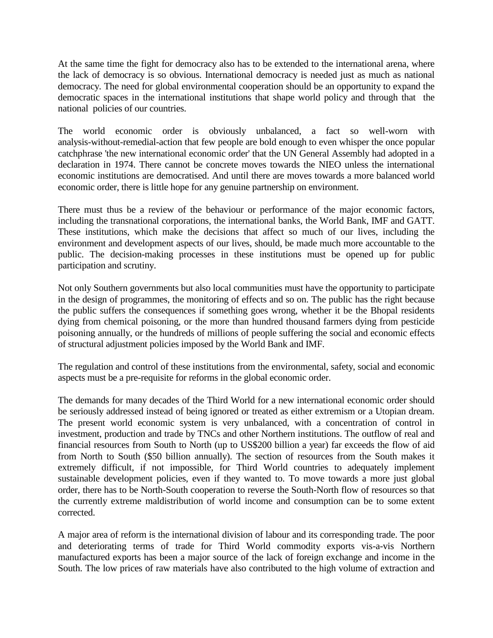At the same time the fight for democracy also has to be extended to the international arena, where the lack of democracy is so obvious. International democracy is needed just as much as national democracy. The need for global environmental cooperation should be an opportunity to expand the democratic spaces in the international institutions that shape world policy and through that the national policies of our countries.

The world economic order is obviously unbalanced, a fact so well-worn with analysis-without-remedial-action that few people are bold enough to even whisper the once popular catchphrase 'the new international economic order' that the UN General Assembly had adopted in a declaration in 1974. There cannot be concrete moves towards the NIEO unless the international economic institutions are democratised. And until there are moves towards a more balanced world economic order, there is little hope for any genuine partnership on environment.

There must thus be a review of the behaviour or performance of the major economic factors, including the transnational corporations, the international banks, the World Bank, IMF and GATT. These institutions, which make the decisions that affect so much of our lives, including the environment and development aspects of our lives, should, be made much more accountable to the public. The decision-making processes in these institutions must be opened up for public participation and scrutiny.

Not only Southern governments but also local communities must have the opportunity to participate in the design of programmes, the monitoring of effects and so on. The public has the right because the public suffers the consequences if something goes wrong, whether it be the Bhopal residents dying from chemical poisoning, or the more than hundred thousand farmers dying from pesticide poisoning annually, or the hundreds of millions of people suffering the social and economic effects of structural adjustment policies imposed by the World Bank and IMF.

The regulation and control of these institutions from the environmental, safety, social and economic aspects must be a pre-requisite for reforms in the global economic order.

The demands for many decades of the Third World for a new international economic order should be seriously addressed instead of being ignored or treated as either extremism or a Utopian dream. The present world economic system is very unbalanced, with a concentration of control in investment, production and trade by TNCs and other Northern institutions. The outflow of real and financial resources from South to North (up to US\$200 billion a year) far exceeds the flow of aid from North to South (\$50 billion annually). The section of resources from the South makes it extremely difficult, if not impossible, for Third World countries to adequately implement sustainable development policies, even if they wanted to. To move towards a more just global order, there has to be North-South cooperation to reverse the South-North flow of resources so that the currently extreme maldistribution of world income and consumption can be to some extent corrected.

A major area of reform is the international division of labour and its corresponding trade. The poor and deteriorating terms of trade for Third World commodity exports vis-a-vis Northern manufactured exports has been a major source of the lack of foreign exchange and income in the South. The low prices of raw materials have also contributed to the high volume of extraction and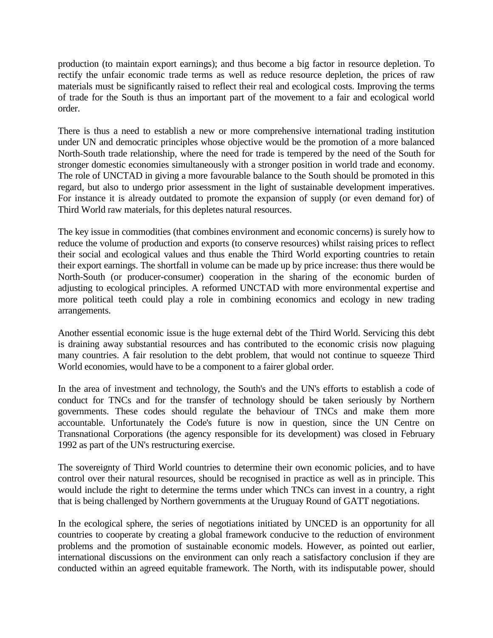production (to maintain export earnings); and thus become a big factor in resource depletion. To rectify the unfair economic trade terms as well as reduce resource depletion, the prices of raw materials must be significantly raised to reflect their real and ecological costs. Improving the terms of trade for the South is thus an important part of the movement to a fair and ecological world order.

There is thus a need to establish a new or more comprehensive international trading institution under UN and democratic principles whose objective would be the promotion of a more balanced North-South trade relationship, where the need for trade is tempered by the need of the South for stronger domestic economies simultaneously with a stronger position in world trade and economy. The role of UNCTAD in giving a more favourable balance to the South should be promoted in this regard, but also to undergo prior assessment in the light of sustainable development imperatives. For instance it is already outdated to promote the expansion of supply (or even demand for) of Third World raw materials, for this depletes natural resources.

The key issue in commodities (that combines environment and economic concerns) is surely how to reduce the volume of production and exports (to conserve resources) whilst raising prices to reflect their social and ecological values and thus enable the Third World exporting countries to retain their export earnings. The shortfall in volume can be made up by price increase: thus there would be North-South (or producer-consumer) cooperation in the sharing of the economic burden of adjusting to ecological principles. A reformed UNCTAD with more environmental expertise and more political teeth could play a role in combining economics and ecology in new trading arrangements.

Another essential economic issue is the huge external debt of the Third World. Servicing this debt is draining away substantial resources and has contributed to the economic crisis now plaguing many countries. A fair resolution to the debt problem, that would not continue to squeeze Third World economies, would have to be a component to a fairer global order.

In the area of investment and technology, the South's and the UN's efforts to establish a code of conduct for TNCs and for the transfer of technology should be taken seriously by Northern governments. These codes should regulate the behaviour of TNCs and make them more accountable. Unfortunately the Code's future is now in question, since the UN Centre on Transnational Corporations (the agency responsible for its development) was closed in February 1992 as part of the UN's restructuring exercise.

The sovereignty of Third World countries to determine their own economic policies, and to have control over their natural resources, should be recognised in practice as well as in principle. This would include the right to determine the terms under which TNCs can invest in a country, a right that is being challenged by Northern governments at the Uruguay Round of GATT negotiations.

In the ecological sphere, the series of negotiations initiated by UNCED is an opportunity for all countries to cooperate by creating a global framework conducive to the reduction of environment problems and the promotion of sustainable economic models. However, as pointed out earlier, international discussions on the environment can only reach a satisfactory conclusion if they are conducted within an agreed equitable framework. The North, with its indisputable power, should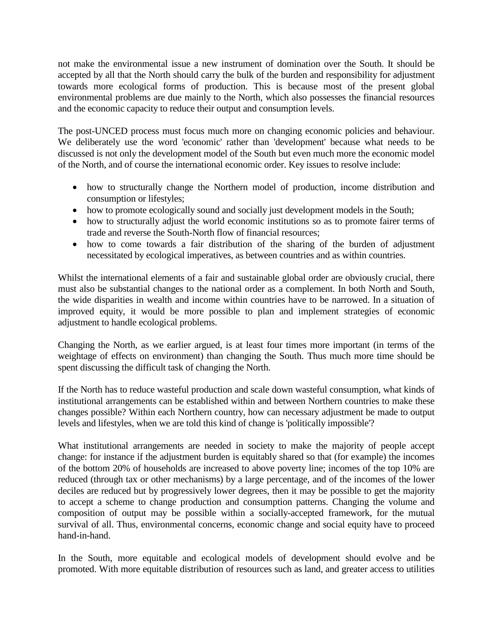not make the environmental issue a new instrument of domination over the South. It should be accepted by all that the North should carry the bulk of the burden and responsibility for adjustment towards more ecological forms of production. This is because most of the present global environmental problems are due mainly to the North, which also possesses the financial resources and the economic capacity to reduce their output and consumption levels.

The post-UNCED process must focus much more on changing economic policies and behaviour. We deliberately use the word 'economic' rather than 'development' because what needs to be discussed is not only the development model of the South but even much more the economic model of the North, and of course the international economic order. Key issues to resolve include:

- how to structurally change the Northern model of production, income distribution and consumption or lifestyles;
- how to promote ecologically sound and socially just development models in the South;
- how to structurally adjust the world economic institutions so as to promote fairer terms of trade and reverse the South-North flow of financial resources;
- how to come towards a fair distribution of the sharing of the burden of adjustment necessitated by ecological imperatives, as between countries and as within countries.

Whilst the international elements of a fair and sustainable global order are obviously crucial, there must also be substantial changes to the national order as a complement. In both North and South, the wide disparities in wealth and income within countries have to be narrowed. In a situation of improved equity, it would be more possible to plan and implement strategies of economic adjustment to handle ecological problems.

Changing the North, as we earlier argued, is at least four times more important (in terms of the weightage of effects on environment) than changing the South. Thus much more time should be spent discussing the difficult task of changing the North.

If the North has to reduce wasteful production and scale down wasteful consumption, what kinds of institutional arrangements can be established within and between Northern countries to make these changes possible? Within each Northern country, how can necessary adjustment be made to output levels and lifestyles, when we are told this kind of change is 'politically impossible'?

What institutional arrangements are needed in society to make the majority of people accept change: for instance if the adjustment burden is equitably shared so that (for example) the incomes of the bottom 20% of households are increased to above poverty line; incomes of the top 10% are reduced (through tax or other mechanisms) by a large percentage, and of the incomes of the lower deciles are reduced but by progressively lower degrees, then it may be possible to get the majority to accept a scheme to change production and consumption patterns. Changing the volume and composition of output may be possible within a socially-accepted framework, for the mutual survival of all. Thus, environmental concerns, economic change and social equity have to proceed hand-in-hand.

In the South, more equitable and ecological models of development should evolve and be promoted. With more equitable distribution of resources such as land, and greater access to utilities